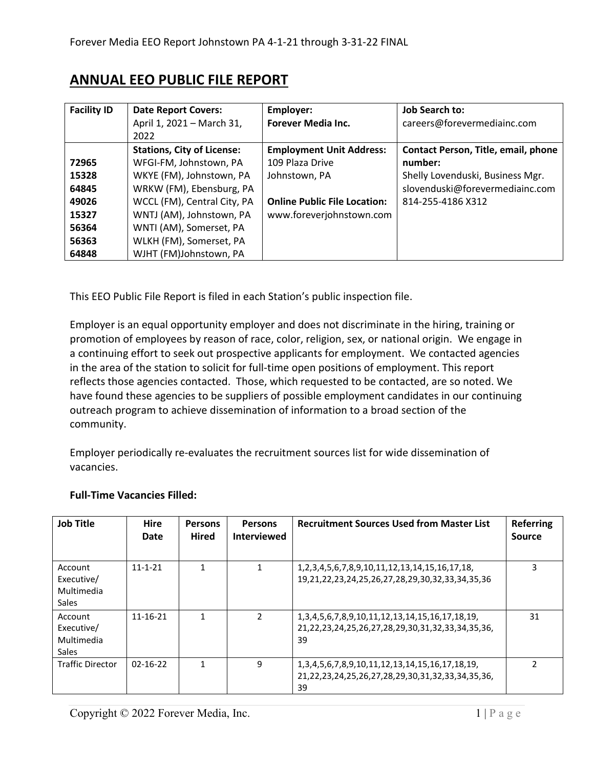| <b>Facility ID</b> | <b>Date Report Covers:</b>        | Employer:                           | <b>Job Search to:</b>               |
|--------------------|-----------------------------------|-------------------------------------|-------------------------------------|
|                    | April 1, 2021 - March 31,         | <b>Forever Media Inc.</b>           | careers@forevermediainc.com         |
|                    | 2022                              |                                     |                                     |
|                    | <b>Stations, City of License:</b> | <b>Employment Unit Address:</b>     | Contact Person, Title, email, phone |
| 72965              | WFGI-FM, Johnstown, PA            | 109 Plaza Drive                     | number:                             |
| 15328              | WKYE (FM), Johnstown, PA          | Johnstown, PA                       | Shelly Lovenduski, Business Mgr.    |
| 64845              | WRKW (FM), Ebensburg, PA          |                                     | slovenduski@forevermediainc.com     |
| 49026              | WCCL (FM), Central City, PA       | <b>Online Public File Location:</b> | 814-255-4186 X312                   |
| 15327              | WNTJ (AM), Johnstown, PA          | www.foreverjohnstown.com            |                                     |
| 56364              | WNTI (AM), Somerset, PA           |                                     |                                     |
| 56363              | WLKH (FM), Somerset, PA           |                                     |                                     |
| 64848              | WJHT (FM)Johnstown, PA            |                                     |                                     |

## **ANNUAL EEO PUBLIC FILE REPORT**

This EEO Public File Report is filed in each Station's public inspection file.

Employer is an equal opportunity employer and does not discriminate in the hiring, training or promotion of employees by reason of race, color, religion, sex, or national origin. We engage in a continuing effort to seek out prospective applicants for employment. We contacted agencies in the area of the station to solicit for full-time open positions of employment. This report reflects those agencies contacted. Those, which requested to be contacted, are so noted. We have found these agencies to be suppliers of possible employment candidates in our continuing outreach program to achieve dissemination of information to a broad section of the community.

Employer periodically re-evaluates the recruitment sources list for wide dissemination of vacancies.

| <b>Job Title</b>                                    | <b>Hire</b><br>Date | <b>Persons</b><br><b>Hired</b> | <b>Persons</b><br><b>Interviewed</b> | <b>Recruitment Sources Used from Master List</b>                                                                                         | Referring<br><b>Source</b> |
|-----------------------------------------------------|---------------------|--------------------------------|--------------------------------------|------------------------------------------------------------------------------------------------------------------------------------------|----------------------------|
| Account<br>Executive/<br>Multimedia<br><b>Sales</b> | $11 - 1 - 21$       |                                | $\mathbf{1}$                         | 1, 2, 3, 4, 5, 6, 7, 8, 9, 10, 11, 12, 13, 14, 15, 16, 17, 18,<br>19,21,22,23,24,25,26,27,28,29,30,32,33,34,35,36                        | 3                          |
| Account<br>Executive/<br>Multimedia<br><b>Sales</b> | $11 - 16 - 21$      |                                | $\mathcal{P}$                        | 1, 3, 4, 5, 6, 7, 8, 9, 10, 11, 12, 13, 14, 15, 16, 17, 18, 19,<br>21, 22, 23, 24, 25, 26, 27, 28, 29, 30, 31, 32, 33, 34, 35, 36,<br>39 | 31                         |
| <b>Traffic Director</b>                             | $02 - 16 - 22$      |                                | 9                                    | 1, 3, 4, 5, 6, 7, 8, 9, 10, 11, 12, 13, 14, 15, 16, 17, 18, 19,<br>21, 22, 23, 24, 25, 26, 27, 28, 29, 30, 31, 32, 33, 34, 35, 36,<br>39 | $\mathfrak z$              |

## **Full-Time Vacancies Filled:**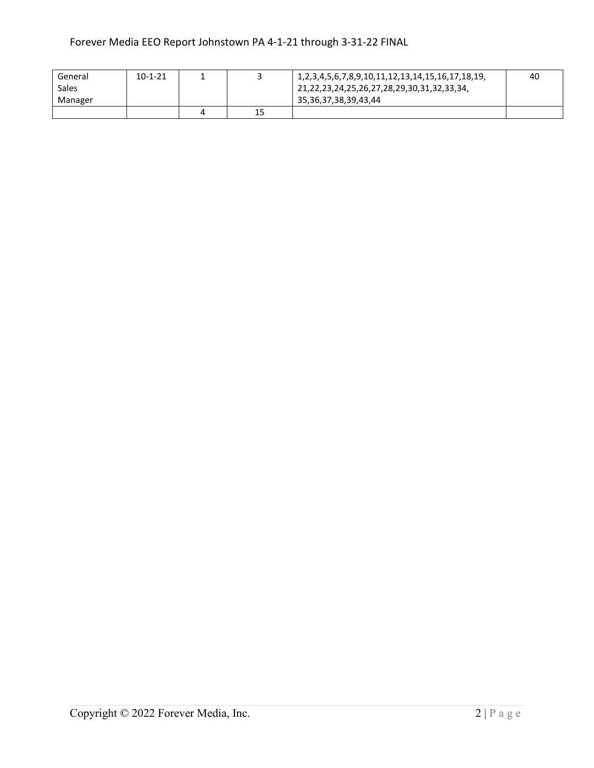| General | $10 - 1 - 21$ |    | ! 1,2,3,4,5,6,7,8,9,10,11,12,13,14,15,16,17,18,19, | 40 |
|---------|---------------|----|----------------------------------------------------|----|
| Sales   |               |    | ' 21,22,23,24,25,26,27,28,29,30,31,32,33,34,       |    |
| Manager |               |    | 35,36,37,38,39,43,44                               |    |
|         |               | 15 |                                                    |    |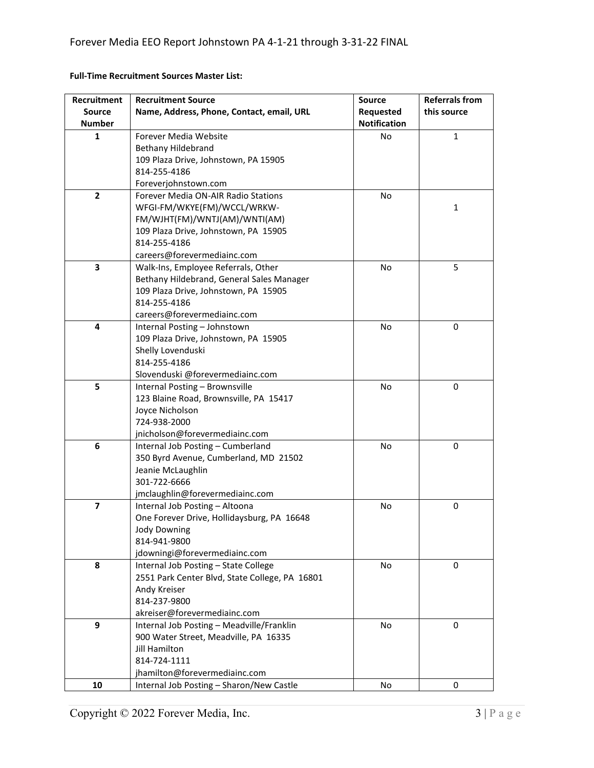**Full-Time Recruitment Sources Master List:**

| Recruitment    | <b>Recruitment Source</b>                      | <b>Source</b> | <b>Referrals from</b> |
|----------------|------------------------------------------------|---------------|-----------------------|
| <b>Source</b>  | Name, Address, Phone, Contact, email, URL      | Requested     | this source           |
| <b>Number</b>  |                                                |               |                       |
| 1              | Forever Media Website                          | No            | 1                     |
|                | Bethany Hildebrand                             |               |                       |
|                | 109 Plaza Drive, Johnstown, PA 15905           |               |                       |
|                | 814-255-4186                                   |               |                       |
|                | Foreverjohnstown.com                           |               |                       |
| $\overline{2}$ | Forever Media ON-AIR Radio Stations            | No            |                       |
|                | WFGI-FM/WKYE(FM)/WCCL/WRKW-                    |               | $\mathbf{1}$          |
|                | FM/WJHT(FM)/WNTJ(AM)/WNTI(AM)                  |               |                       |
|                | 109 Plaza Drive, Johnstown, PA 15905           |               |                       |
|                | 814-255-4186                                   |               |                       |
|                | careers@forevermediainc.com                    |               |                       |
| 3              | Walk-Ins, Employee Referrals, Other            | No            | 5                     |
|                | Bethany Hildebrand, General Sales Manager      |               |                       |
|                | 109 Plaza Drive, Johnstown, PA 15905           |               |                       |
|                | 814-255-4186                                   |               |                       |
|                | careers@forevermediainc.com                    |               |                       |
| 4              | Internal Posting - Johnstown                   | No            | 0                     |
|                | 109 Plaza Drive, Johnstown, PA 15905           |               |                       |
|                | Shelly Lovenduski                              |               |                       |
|                | 814-255-4186                                   |               |                       |
|                | Slovenduski @forevermediainc.com               |               |                       |
| 5              | Internal Posting - Brownsville                 | No            | 0                     |
|                | 123 Blaine Road, Brownsville, PA 15417         |               |                       |
|                | Joyce Nicholson                                |               |                       |
|                | 724-938-2000<br>jnicholson@forevermediainc.com |               |                       |
| 6              | Internal Job Posting - Cumberland              | No            | 0                     |
|                | 350 Byrd Avenue, Cumberland, MD 21502          |               |                       |
|                | Jeanie McLaughlin                              |               |                       |
|                | 301-722-6666                                   |               |                       |
|                | jmclaughlin@forevermediainc.com                |               |                       |
| $\overline{ }$ | Internal Job Posting - Altoona                 | No            | 0                     |
|                | One Forever Drive, Hollidaysburg, PA 16648     |               |                       |
|                | <b>Jody Downing</b>                            |               |                       |
|                | 814-941-9800                                   |               |                       |
|                | jdowningi@forevermediainc.com                  |               |                       |
| 8              | Internal Job Posting - State College           | No            | 0                     |
|                | 2551 Park Center Blvd, State College, PA 16801 |               |                       |
|                | Andy Kreiser                                   |               |                       |
|                | 814-237-9800                                   |               |                       |
|                | akreiser@forevermediainc.com                   |               |                       |
| 9              | Internal Job Posting - Meadville/Franklin      | No            | 0                     |
|                | 900 Water Street, Meadville, PA 16335          |               |                       |
|                | <b>Jill Hamilton</b>                           |               |                       |
|                | 814-724-1111                                   |               |                       |
|                | jhamilton@forevermediainc.com                  |               |                       |
| 10             | Internal Job Posting - Sharon/New Castle       | No            | 0                     |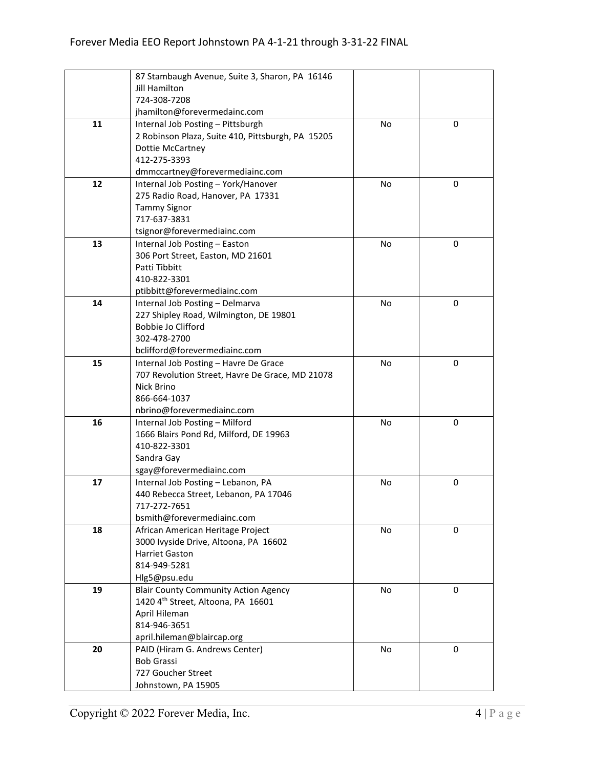|    | 87 Stambaugh Avenue, Suite 3, Sharon, PA 16146    |    |   |
|----|---------------------------------------------------|----|---|
|    | <b>Jill Hamilton</b>                              |    |   |
|    | 724-308-7208                                      |    |   |
|    | jhamilton@forevermedainc.com                      |    |   |
| 11 | Internal Job Posting - Pittsburgh                 | No | 0 |
|    | 2 Robinson Plaza, Suite 410, Pittsburgh, PA 15205 |    |   |
|    | <b>Dottie McCartney</b>                           |    |   |
|    | 412-275-3393                                      |    |   |
|    | dmmccartney@forevermediainc.com                   |    |   |
| 12 | Internal Job Posting - York/Hanover               | No | 0 |
|    | 275 Radio Road, Hanover, PA 17331                 |    |   |
|    | <b>Tammy Signor</b>                               |    |   |
|    | 717-637-3831                                      |    |   |
|    |                                                   |    |   |
|    | tsignor@forevermediainc.com                       |    |   |
| 13 | Internal Job Posting - Easton                     | No | 0 |
|    | 306 Port Street, Easton, MD 21601                 |    |   |
|    | Patti Tibbitt                                     |    |   |
|    | 410-822-3301                                      |    |   |
|    | ptibbitt@forevermediainc.com                      |    |   |
| 14 | Internal Job Posting - Delmarva                   | No | 0 |
|    | 227 Shipley Road, Wilmington, DE 19801            |    |   |
|    | Bobbie Jo Clifford                                |    |   |
|    | 302-478-2700                                      |    |   |
|    | bclifford@forevermediainc.com                     |    |   |
| 15 | Internal Job Posting - Havre De Grace             | No | 0 |
|    | 707 Revolution Street, Havre De Grace, MD 21078   |    |   |
|    | Nick Brino                                        |    |   |
|    | 866-664-1037                                      |    |   |
|    | nbrino@forevermediainc.com                        |    |   |
| 16 | Internal Job Posting - Milford                    | No | 0 |
|    | 1666 Blairs Pond Rd, Milford, DE 19963            |    |   |
|    | 410-822-3301                                      |    |   |
|    | Sandra Gay                                        |    |   |
|    | sgay@forevermediainc.com                          |    |   |
| 17 | Internal Job Posting - Lebanon, PA                | No | 0 |
|    | 440 Rebecca Street, Lebanon, PA 17046             |    |   |
|    | 717-272-7651                                      |    |   |
|    | bsmith@forevermediainc.com                        |    |   |
| 18 | African American Heritage Project                 | No | 0 |
|    | 3000 Ivyside Drive, Altoona, PA 16602             |    |   |
|    | <b>Harriet Gaston</b>                             |    |   |
|    | 814-949-5281                                      |    |   |
|    | Hlg5@psu.edu                                      |    |   |
| 19 | <b>Blair County Community Action Agency</b>       | No | 0 |
|    | 1420 4th Street, Altoona, PA 16601                |    |   |
|    | April Hileman                                     |    |   |
|    | 814-946-3651                                      |    |   |
|    | april.hileman@blaircap.org                        |    |   |
| 20 | PAID (Hiram G. Andrews Center)                    | No | 0 |
|    | <b>Bob Grassi</b>                                 |    |   |
|    | 727 Goucher Street                                |    |   |
|    | Johnstown, PA 15905                               |    |   |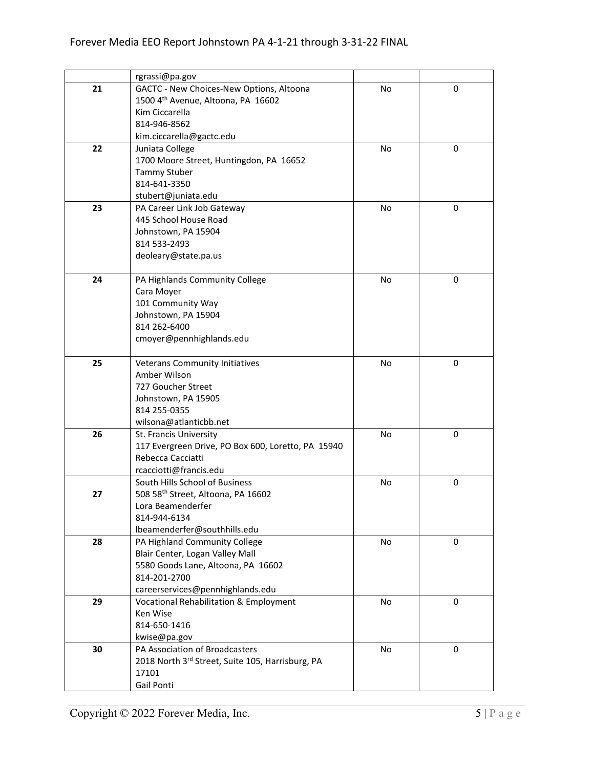|    | rgrassi@pa.gov                                     |    |             |
|----|----------------------------------------------------|----|-------------|
| 21 | GACTC - New Choices-New Options, Altoona           | No | 0           |
|    | 1500 4th Avenue, Altoona, PA 16602                 |    |             |
|    | Kim Ciccarella                                     |    |             |
|    | 814-946-8562                                       |    |             |
|    | kim.ciccarella@gactc.edu                           |    |             |
| 22 | Juniata College                                    | No | 0           |
|    | 1700 Moore Street, Huntingdon, PA 16652            |    |             |
|    | <b>Tammy Stuber</b>                                |    |             |
|    | 814-641-3350                                       |    |             |
|    | stubert@juniata.edu                                |    |             |
| 23 | PA Career Link Job Gateway                         | No | 0           |
|    | 445 School House Road                              |    |             |
|    | Johnstown, PA 15904                                |    |             |
|    | 814 533-2493                                       |    |             |
|    | deoleary@state.pa.us                               |    |             |
|    |                                                    |    |             |
| 24 | PA Highlands Community College                     | No | 0           |
|    | Cara Moyer                                         |    |             |
|    | 101 Community Way                                  |    |             |
|    | Johnstown, PA 15904                                |    |             |
|    | 814 262-6400                                       |    |             |
|    | cmoyer@pennhighlands.edu                           |    |             |
|    |                                                    |    |             |
| 25 | <b>Veterans Community Initiatives</b>              | No | 0           |
|    | Amber Wilson                                       |    |             |
|    | 727 Goucher Street                                 |    |             |
|    | Johnstown, PA 15905                                |    |             |
|    | 814 255-0355                                       |    |             |
|    | wilsona@atlanticbb.net                             |    |             |
| 26 | St. Francis University                             | No | $\mathbf 0$ |
|    | 117 Evergreen Drive, PO Box 600, Loretto, PA 15940 |    |             |
|    | Rebecca Cacciatti                                  |    |             |
|    | rcacciotti@francis.edu                             |    |             |
|    | South Hills School of Business                     | No | 0           |
| 27 | 508 58th Street, Altoona, PA 16602                 |    |             |
|    | Lora Beamenderfer                                  |    |             |
|    | 814-944-6134                                       |    |             |
|    | lbeamenderfer@southhills.edu                       |    |             |
| 28 | PA Highland Community College                      | No | 0           |
|    | Blair Center, Logan Valley Mall                    |    |             |
|    | 5580 Goods Lane, Altoona, PA 16602                 |    |             |
|    | 814-201-2700                                       |    |             |
|    | careerservices@pennhighlands.edu                   |    |             |
| 29 | Vocational Rehabilitation & Employment             | No | 0           |
|    | Ken Wise                                           |    |             |
|    | 814-650-1416                                       |    |             |
|    | kwise@pa.gov                                       |    |             |
| 30 | PA Association of Broadcasters                     | No | $\mathbf 0$ |
|    | 2018 North 3rd Street, Suite 105, Harrisburg, PA   |    |             |
|    | 17101                                              |    |             |
|    | Gail Ponti                                         |    |             |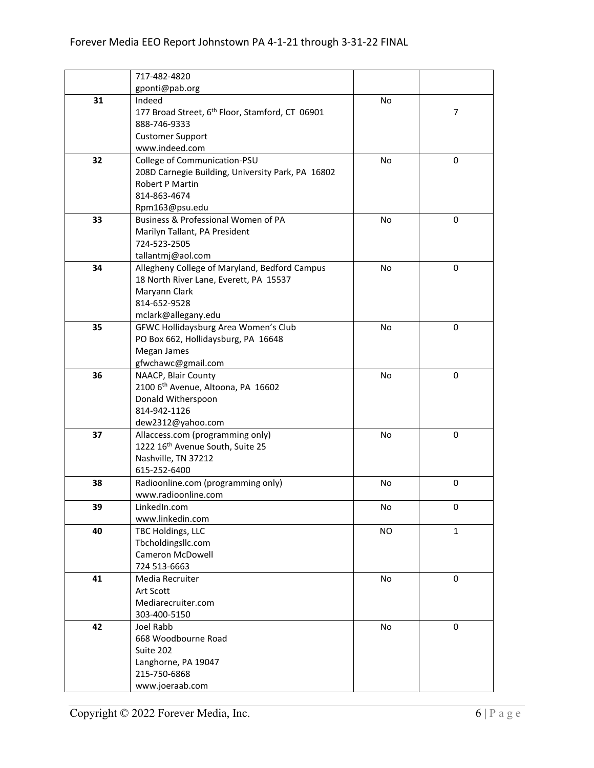|    | 717-482-4820                                                |           |   |
|----|-------------------------------------------------------------|-----------|---|
|    | gponti@pab.org                                              |           |   |
| 31 | Indeed                                                      | No        |   |
|    | 177 Broad Street, 6 <sup>th</sup> Floor, Stamford, CT 06901 |           | 7 |
|    | 888-746-9333                                                |           |   |
|    | <b>Customer Support</b>                                     |           |   |
|    | www.indeed.com                                              |           |   |
| 32 | College of Communication-PSU                                | No        | 0 |
|    | 208D Carnegie Building, University Park, PA 16802           |           |   |
|    | <b>Robert P Martin</b>                                      |           |   |
|    | 814-863-4674                                                |           |   |
|    | Rpm163@psu.edu                                              |           |   |
| 33 | Business & Professional Women of PA                         | No        | 0 |
|    | Marilyn Tallant, PA President                               |           |   |
|    | 724-523-2505                                                |           |   |
|    | tallantmj@aol.com                                           |           |   |
| 34 | Allegheny College of Maryland, Bedford Campus               | <b>No</b> | 0 |
|    | 18 North River Lane, Everett, PA 15537                      |           |   |
|    | Maryann Clark                                               |           |   |
|    | 814-652-9528                                                |           |   |
|    | mclark@allegany.edu                                         |           |   |
| 35 | GFWC Hollidaysburg Area Women's Club                        | No        | 0 |
|    | PO Box 662, Hollidaysburg, PA 16648                         |           |   |
|    | Megan James                                                 |           |   |
|    | gfwchawc@gmail.com                                          |           |   |
| 36 | NAACP, Blair County                                         | No        | 0 |
|    | 2100 6th Avenue, Altoona, PA 16602                          |           |   |
|    | Donald Witherspoon                                          |           |   |
|    | 814-942-1126                                                |           |   |
|    | dew2312@yahoo.com                                           |           |   |
| 37 | Allaccess.com (programming only)                            | No        | 0 |
|    | 1222 16 <sup>th</sup> Avenue South, Suite 25                |           |   |
|    | Nashville, TN 37212                                         |           |   |
|    | 615-252-6400                                                |           |   |
| 38 | Radioonline.com (programming only)                          | No        | 0 |
|    | www.radioonline.com                                         |           |   |
| 39 | LinkedIn.com                                                | No        | 0 |
|    | www.linkedin.com                                            |           |   |
| 40 | TBC Holdings, LLC                                           | NO.       | 1 |
|    | Tbcholdingsllc.com<br>Cameron McDowell                      |           |   |
|    |                                                             |           |   |
| 41 | 724 513-6663                                                |           |   |
|    | Media Recruiter<br>Art Scott                                | No        | 0 |
|    | Mediarecruiter.com                                          |           |   |
|    | 303-400-5150                                                |           |   |
| 42 |                                                             |           | 0 |
|    | Joel Rabb<br>668 Woodbourne Road                            | No        |   |
|    | Suite 202                                                   |           |   |
|    | Langhorne, PA 19047                                         |           |   |
|    | 215-750-6868                                                |           |   |
|    | www.joeraab.com                                             |           |   |
|    |                                                             |           |   |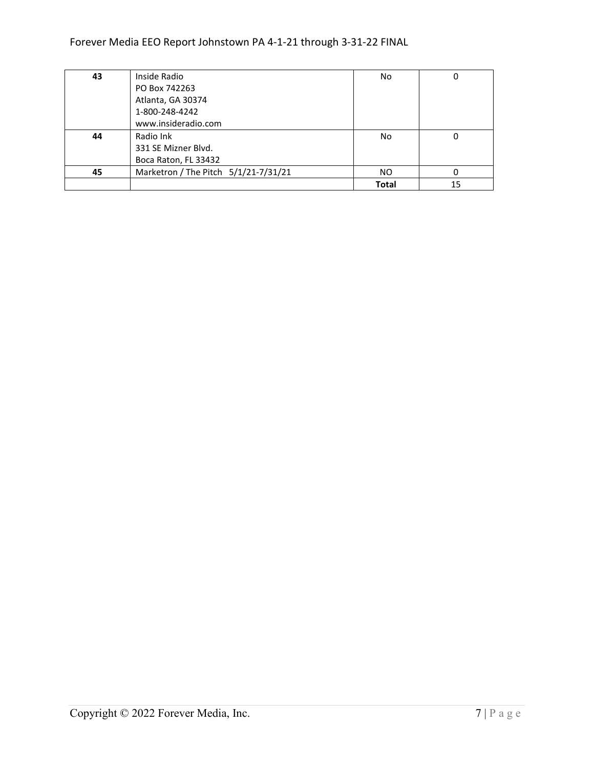## Forever Media EEO Report Johnstown PA 4-1-21 through 3-31-22 FINAL

| 43 | Inside Radio                         | No           | 0  |
|----|--------------------------------------|--------------|----|
|    | PO Box 742263                        |              |    |
|    | Atlanta, GA 30374                    |              |    |
|    | 1-800-248-4242                       |              |    |
|    | www.insideradio.com                  |              |    |
| 44 | Radio Ink                            | No           | 0  |
|    | 331 SE Mizner Blvd.                  |              |    |
|    | Boca Raton, FL 33432                 |              |    |
| 45 | Marketron / The Pitch 5/1/21-7/31/21 | NO.          | 0  |
|    |                                      | <b>Total</b> | 15 |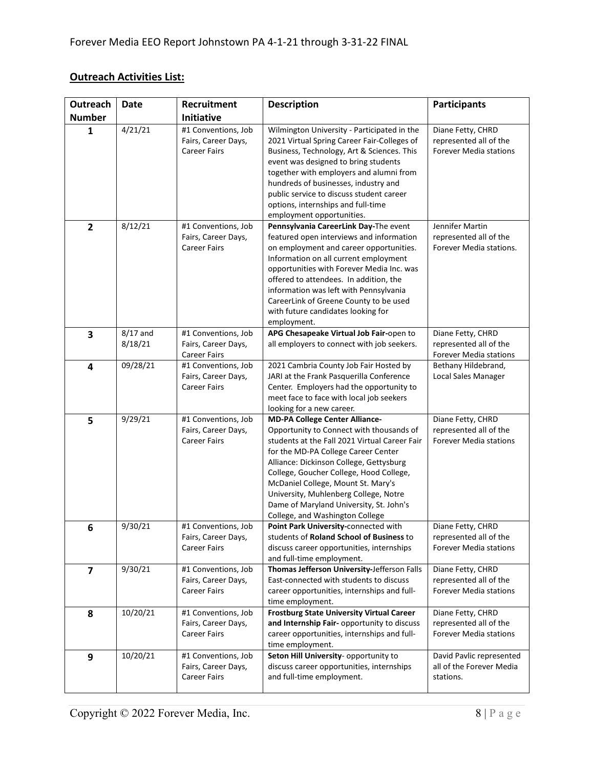## **Outreach Activities List:**

| Outreach                | <b>Date</b>           | Recruitment                                                       | <b>Description</b>                                                                                                                                                                                                                                                                                                                                                                                                           | <b>Participants</b>                                                   |
|-------------------------|-----------------------|-------------------------------------------------------------------|------------------------------------------------------------------------------------------------------------------------------------------------------------------------------------------------------------------------------------------------------------------------------------------------------------------------------------------------------------------------------------------------------------------------------|-----------------------------------------------------------------------|
| <b>Number</b>           |                       | Initiative                                                        |                                                                                                                                                                                                                                                                                                                                                                                                                              |                                                                       |
| 1                       | 4/21/21               | #1 Conventions, Job<br>Fairs, Career Days,<br><b>Career Fairs</b> | Wilmington University - Participated in the<br>2021 Virtual Spring Career Fair-Colleges of<br>Business, Technology, Art & Sciences. This<br>event was designed to bring students<br>together with employers and alumni from<br>hundreds of businesses, industry and<br>public service to discuss student career<br>options, internships and full-time<br>employment opportunities.                                           | Diane Fetty, CHRD<br>represented all of the<br>Forever Media stations |
| $\overline{2}$          | 8/12/21               | #1 Conventions, Job<br>Fairs, Career Days,<br><b>Career Fairs</b> | Pennsylvania CareerLink Day-The event<br>featured open interviews and information<br>on employment and career opportunities.<br>Information on all current employment<br>opportunities with Forever Media Inc. was<br>offered to attendees. In addition, the<br>information was left with Pennsylvania<br>CareerLink of Greene County to be used<br>with future candidates looking for<br>employment.                        | Jennifer Martin<br>represented all of the<br>Forever Media stations.  |
| 3                       | $8/17$ and<br>8/18/21 | #1 Conventions, Job<br>Fairs, Career Days,<br><b>Career Fairs</b> | APG Chesapeake Virtual Job Fair-open to<br>all employers to connect with job seekers.                                                                                                                                                                                                                                                                                                                                        | Diane Fetty, CHRD<br>represented all of the<br>Forever Media stations |
| 4                       | 09/28/21              | #1 Conventions, Job<br>Fairs, Career Days,<br><b>Career Fairs</b> | 2021 Cambria County Job Fair Hosted by<br>JARI at the Frank Pasquerilla Conference<br>Center. Employers had the opportunity to<br>meet face to face with local job seekers<br>looking for a new career.                                                                                                                                                                                                                      | Bethany Hildebrand,<br>Local Sales Manager                            |
| 5                       | 9/29/21               | #1 Conventions, Job<br>Fairs, Career Days,<br><b>Career Fairs</b> | <b>MD-PA College Center Alliance-</b><br>Opportunity to Connect with thousands of<br>students at the Fall 2021 Virtual Career Fair<br>for the MD-PA College Career Center<br>Alliance: Dickinson College, Gettysburg<br>College, Goucher College, Hood College,<br>McDaniel College, Mount St. Mary's<br>University, Muhlenberg College, Notre<br>Dame of Maryland University, St. John's<br>College, and Washington College | Diane Fetty, CHRD<br>represented all of the<br>Forever Media stations |
| 6                       | 9/30/21               | #1 Conventions, Job<br>Fairs, Career Days,<br><b>Career Fairs</b> | Point Park University-connected with<br>students of Roland School of Business to<br>discuss career opportunities, internships<br>and full-time employment.                                                                                                                                                                                                                                                                   | Diane Fetty, CHRD<br>represented all of the<br>Forever Media stations |
| $\overline{\mathbf{z}}$ | 9/30/21               | #1 Conventions, Job<br>Fairs, Career Days,<br><b>Career Fairs</b> | Thomas Jefferson University-Jefferson Falls<br>East-connected with students to discuss<br>career opportunities, internships and full-<br>time employment.                                                                                                                                                                                                                                                                    | Diane Fetty, CHRD<br>represented all of the<br>Forever Media stations |
| 8                       | 10/20/21              | #1 Conventions, Job<br>Fairs, Career Days,<br><b>Career Fairs</b> | <b>Frostburg State University Virtual Career</b><br>and Internship Fair- opportunity to discuss<br>career opportunities, internships and full-<br>time employment.                                                                                                                                                                                                                                                           | Diane Fetty, CHRD<br>represented all of the<br>Forever Media stations |
| 9                       | 10/20/21              | #1 Conventions, Job<br>Fairs, Career Days,<br><b>Career Fairs</b> | Seton Hill University- opportunity to<br>discuss career opportunities, internships<br>and full-time employment.                                                                                                                                                                                                                                                                                                              | David Pavlic represented<br>all of the Forever Media<br>stations.     |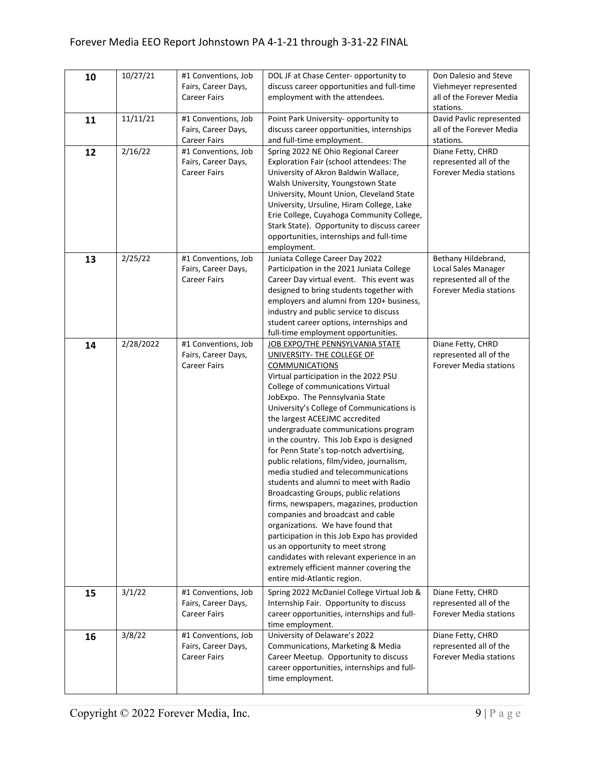| 10 | 10/27/21  | #1 Conventions, Job<br>Fairs, Career Days,<br><b>Career Fairs</b> | DOL JF at Chase Center- opportunity to<br>discuss career opportunities and full-time<br>employment with the attendees.                                                                                                                                                                                                                                                                                                                                                                                                                                                                                                                                                                                                                                                                                                                                                                                                         | Don Dalesio and Steve<br>Viehmeyer represented<br>all of the Forever Media<br>stations.        |
|----|-----------|-------------------------------------------------------------------|--------------------------------------------------------------------------------------------------------------------------------------------------------------------------------------------------------------------------------------------------------------------------------------------------------------------------------------------------------------------------------------------------------------------------------------------------------------------------------------------------------------------------------------------------------------------------------------------------------------------------------------------------------------------------------------------------------------------------------------------------------------------------------------------------------------------------------------------------------------------------------------------------------------------------------|------------------------------------------------------------------------------------------------|
| 11 | 11/11/21  | #1 Conventions, Job<br>Fairs, Career Days,<br><b>Career Fairs</b> | Point Park University- opportunity to<br>discuss career opportunities, internships<br>and full-time employment.                                                                                                                                                                                                                                                                                                                                                                                                                                                                                                                                                                                                                                                                                                                                                                                                                | David Pavlic represented<br>all of the Forever Media<br>stations.                              |
| 12 | 2/16/22   | #1 Conventions, Job<br>Fairs, Career Days,<br><b>Career Fairs</b> | Spring 2022 NE Ohio Regional Career<br>Exploration Fair (school attendees: The<br>University of Akron Baldwin Wallace,<br>Walsh University, Youngstown State<br>University, Mount Union, Cleveland State<br>University, Ursuline, Hiram College, Lake<br>Erie College, Cuyahoga Community College,<br>Stark State). Opportunity to discuss career<br>opportunities, internships and full-time<br>employment.                                                                                                                                                                                                                                                                                                                                                                                                                                                                                                                   | Diane Fetty, CHRD<br>represented all of the<br>Forever Media stations                          |
| 13 | 2/25/22   | #1 Conventions, Job<br>Fairs, Career Days,<br><b>Career Fairs</b> | Juniata College Career Day 2022<br>Participation in the 2021 Juniata College<br>Career Day virtual event. This event was<br>designed to bring students together with<br>employers and alumni from 120+ business,<br>industry and public service to discuss<br>student career options, internships and<br>full-time employment opportunities.                                                                                                                                                                                                                                                                                                                                                                                                                                                                                                                                                                                   | Bethany Hildebrand,<br>Local Sales Manager<br>represented all of the<br>Forever Media stations |
| 14 | 2/28/2022 | #1 Conventions, Job<br>Fairs, Career Days,<br><b>Career Fairs</b> | JOB EXPO/THE PENNSYLVANIA STATE<br>UNIVERSITY- THE COLLEGE OF<br><b>COMMUNICATIONS</b><br>Virtual participation in the 2022 PSU<br>College of communications Virtual<br>JobExpo. The Pennsylvania State<br>University's College of Communications is<br>the largest ACEEJMC accredited<br>undergraduate communications program<br>in the country. This Job Expo is designed<br>for Penn State's top-notch advertising,<br>public relations, film/video, journalism,<br>media studied and telecommunications<br>students and alumni to meet with Radio<br>Broadcasting Groups, public relations<br>firms, newspapers, magazines, production<br>companies and broadcast and cable<br>organizations. We have found that<br>participation in this Job Expo has provided<br>us an opportunity to meet strong<br>candidates with relevant experience in an<br>extremely efficient manner covering the<br>entire mid-Atlantic region. | Diane Fetty, CHRD<br>represented all of the<br>Forever Media stations                          |
| 15 | 3/1/22    | #1 Conventions, Job<br>Fairs, Career Days,<br><b>Career Fairs</b> | Spring 2022 McDaniel College Virtual Job &<br>Internship Fair. Opportunity to discuss<br>career opportunities, internships and full-<br>time employment.                                                                                                                                                                                                                                                                                                                                                                                                                                                                                                                                                                                                                                                                                                                                                                       | Diane Fetty, CHRD<br>represented all of the<br>Forever Media stations                          |
| 16 | 3/8/22    | #1 Conventions, Job<br>Fairs, Career Days,<br><b>Career Fairs</b> | University of Delaware's 2022<br>Communications, Marketing & Media<br>Career Meetup. Opportunity to discuss<br>career opportunities, internships and full-<br>time employment.                                                                                                                                                                                                                                                                                                                                                                                                                                                                                                                                                                                                                                                                                                                                                 | Diane Fetty, CHRD<br>represented all of the<br>Forever Media stations                          |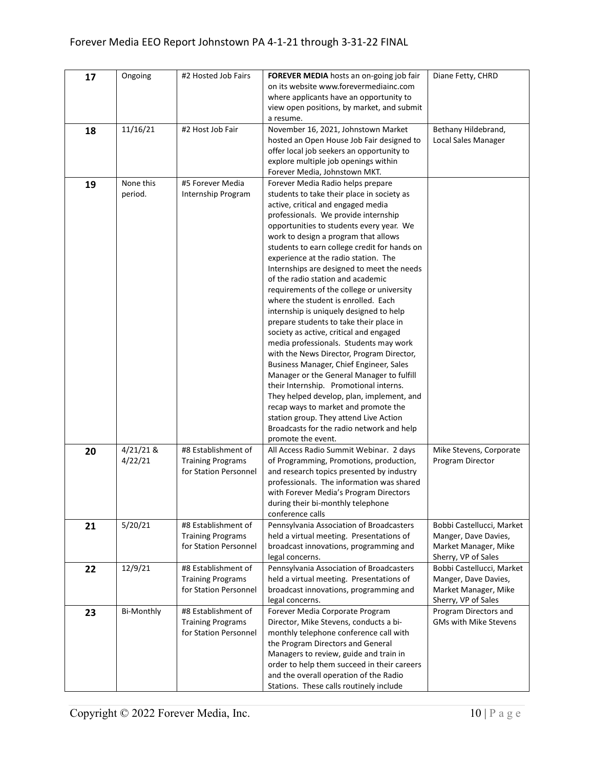| 17 | Ongoing           | #2 Hosted Job Fairs                             | <b>FOREVER MEDIA</b> hosts an on-going job fair              | Diane Fetty, CHRD                                 |
|----|-------------------|-------------------------------------------------|--------------------------------------------------------------|---------------------------------------------------|
|    |                   |                                                 | on its website www.forevermediainc.com                       |                                                   |
|    |                   |                                                 | where applicants have an opportunity to                      |                                                   |
|    |                   |                                                 | view open positions, by market, and submit                   |                                                   |
|    |                   |                                                 | a resume.                                                    |                                                   |
| 18 | 11/16/21          | #2 Host Job Fair                                | November 16, 2021, Johnstown Market                          | Bethany Hildebrand,                               |
|    |                   |                                                 | hosted an Open House Job Fair designed to                    | Local Sales Manager                               |
|    |                   |                                                 | offer local job seekers an opportunity to                    |                                                   |
|    |                   |                                                 | explore multiple job openings within                         |                                                   |
|    |                   |                                                 | Forever Media, Johnstown MKT.                                |                                                   |
| 19 | None this         | #5 Forever Media                                | Forever Media Radio helps prepare                            |                                                   |
|    | period.           | Internship Program                              | students to take their place in society as                   |                                                   |
|    |                   |                                                 | active, critical and engaged media                           |                                                   |
|    |                   |                                                 | professionals. We provide internship                         |                                                   |
|    |                   |                                                 | opportunities to students every year. We                     |                                                   |
|    |                   |                                                 | work to design a program that allows                         |                                                   |
|    |                   |                                                 | students to earn college credit for hands on                 |                                                   |
|    |                   |                                                 | experience at the radio station. The                         |                                                   |
|    |                   |                                                 | Internships are designed to meet the needs                   |                                                   |
|    |                   |                                                 | of the radio station and academic                            |                                                   |
|    |                   |                                                 | requirements of the college or university                    |                                                   |
|    |                   |                                                 | where the student is enrolled. Each                          |                                                   |
|    |                   |                                                 | internship is uniquely designed to help                      |                                                   |
|    |                   |                                                 | prepare students to take their place in                      |                                                   |
|    |                   |                                                 | society as active, critical and engaged                      |                                                   |
|    |                   |                                                 | media professionals. Students may work                       |                                                   |
|    |                   |                                                 | with the News Director, Program Director,                    |                                                   |
|    |                   |                                                 | Business Manager, Chief Engineer, Sales                      |                                                   |
|    |                   |                                                 | Manager or the General Manager to fulfill                    |                                                   |
|    |                   |                                                 | their Internship. Promotional interns.                       |                                                   |
|    |                   |                                                 | They helped develop, plan, implement, and                    |                                                   |
|    |                   |                                                 | recap ways to market and promote the                         |                                                   |
|    |                   |                                                 | station group. They attend Live Action                       |                                                   |
|    |                   |                                                 | Broadcasts for the radio network and help                    |                                                   |
|    |                   |                                                 | promote the event.                                           |                                                   |
| 20 | 4/21/21 &         | #8 Establishment of                             | All Access Radio Summit Webinar. 2 days                      | Mike Stevens, Corporate                           |
|    | 4/22/21           | <b>Training Programs</b>                        | of Programming, Promotions, production,                      | Program Director                                  |
|    |                   | for Station Personnel                           | and research topics presented by industry                    |                                                   |
|    |                   |                                                 | professionals. The information was shared                    |                                                   |
|    |                   |                                                 | with Forever Media's Program Directors                       |                                                   |
|    |                   |                                                 | during their bi-monthly telephone                            |                                                   |
|    |                   |                                                 | conference calls<br>Pennsylvania Association of Broadcasters |                                                   |
| 21 | 5/20/21           | #8 Establishment of<br><b>Training Programs</b> | held a virtual meeting. Presentations of                     | Bobbi Castellucci, Market<br>Manger, Dave Davies, |
|    |                   | for Station Personnel                           | broadcast innovations, programming and                       | Market Manager, Mike                              |
|    |                   |                                                 | legal concerns.                                              | Sherry, VP of Sales                               |
| 22 | 12/9/21           | #8 Establishment of                             | Pennsylvania Association of Broadcasters                     | Bobbi Castellucci, Market                         |
|    |                   | <b>Training Programs</b>                        | held a virtual meeting. Presentations of                     | Manger, Dave Davies,                              |
|    |                   | for Station Personnel                           | broadcast innovations, programming and                       | Market Manager, Mike                              |
|    |                   |                                                 | legal concerns.                                              | Sherry, VP of Sales                               |
| 23 | <b>Bi-Monthly</b> | #8 Establishment of                             | Forever Media Corporate Program                              | Program Directors and                             |
|    |                   | <b>Training Programs</b>                        | Director, Mike Stevens, conducts a bi-                       | <b>GMs with Mike Stevens</b>                      |
|    |                   | for Station Personnel                           | monthly telephone conference call with                       |                                                   |
|    |                   |                                                 | the Program Directors and General                            |                                                   |
|    |                   |                                                 | Managers to review, guide and train in                       |                                                   |
|    |                   |                                                 | order to help them succeed in their careers                  |                                                   |
|    |                   |                                                 | and the overall operation of the Radio                       |                                                   |
|    |                   |                                                 | Stations. These calls routinely include                      |                                                   |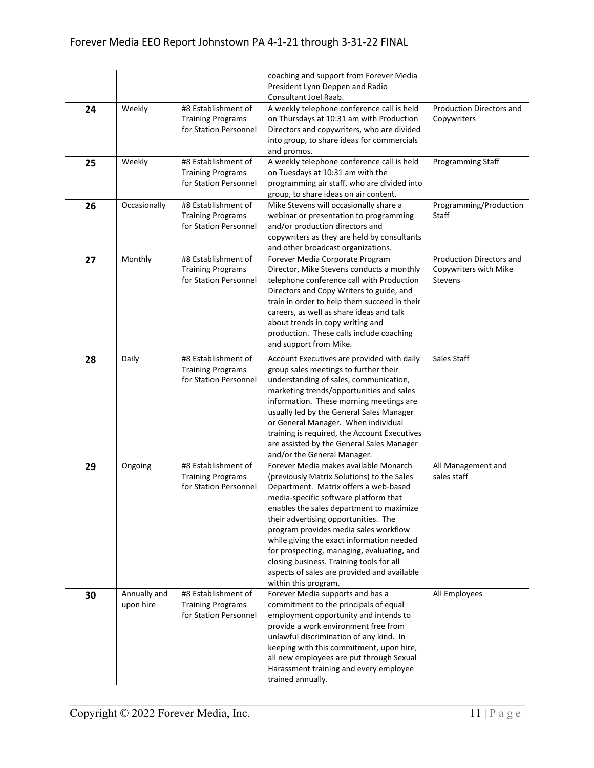|    |                           |                                                                          | coaching and support from Forever Media<br>President Lynn Deppen and Radio<br>Consultant Joel Raab.                                                                                                                                                                                                                                                                                                                                                                                                              |                                                                            |
|----|---------------------------|--------------------------------------------------------------------------|------------------------------------------------------------------------------------------------------------------------------------------------------------------------------------------------------------------------------------------------------------------------------------------------------------------------------------------------------------------------------------------------------------------------------------------------------------------------------------------------------------------|----------------------------------------------------------------------------|
| 24 | Weekly                    | #8 Establishment of<br><b>Training Programs</b><br>for Station Personnel | A weekly telephone conference call is held<br>on Thursdays at 10:31 am with Production<br>Directors and copywriters, who are divided<br>into group, to share ideas for commercials<br>and promos.                                                                                                                                                                                                                                                                                                                | Production Directors and<br>Copywriters                                    |
| 25 | Weekly                    | #8 Establishment of<br><b>Training Programs</b><br>for Station Personnel | A weekly telephone conference call is held<br>on Tuesdays at 10:31 am with the<br>programming air staff, who are divided into<br>group, to share ideas on air content.                                                                                                                                                                                                                                                                                                                                           | <b>Programming Staff</b>                                                   |
| 26 | Occasionally              | #8 Establishment of<br><b>Training Programs</b><br>for Station Personnel | Mike Stevens will occasionally share a<br>webinar or presentation to programming<br>and/or production directors and<br>copywriters as they are held by consultants<br>and other broadcast organizations.                                                                                                                                                                                                                                                                                                         | Programming/Production<br>Staff                                            |
| 27 | Monthly                   | #8 Establishment of<br><b>Training Programs</b><br>for Station Personnel | Forever Media Corporate Program<br>Director, Mike Stevens conducts a monthly<br>telephone conference call with Production<br>Directors and Copy Writers to guide, and<br>train in order to help them succeed in their<br>careers, as well as share ideas and talk<br>about trends in copy writing and<br>production. These calls include coaching<br>and support from Mike.                                                                                                                                      | <b>Production Directors and</b><br>Copywriters with Mike<br><b>Stevens</b> |
| 28 | Daily                     | #8 Establishment of<br><b>Training Programs</b><br>for Station Personnel | Account Executives are provided with daily<br>group sales meetings to further their<br>understanding of sales, communication,<br>marketing trends/opportunities and sales<br>information. These morning meetings are<br>usually led by the General Sales Manager<br>or General Manager. When individual<br>training is required, the Account Executives<br>are assisted by the General Sales Manager<br>and/or the General Manager.                                                                              | Sales Staff                                                                |
| 29 | Ongoing                   | #8 Establishment of<br><b>Training Programs</b><br>for Station Personnel | Forever Media makes available Monarch<br>(previously Matrix Solutions) to the Sales<br>Department. Matrix offers a web-based<br>media-specific software platform that<br>enables the sales department to maximize<br>their advertising opportunities. The<br>program provides media sales workflow<br>while giving the exact information needed<br>for prospecting, managing, evaluating, and<br>closing business. Training tools for all<br>aspects of sales are provided and available<br>within this program. | All Management and<br>sales staff                                          |
| 30 | Annually and<br>upon hire | #8 Establishment of<br><b>Training Programs</b><br>for Station Personnel | Forever Media supports and has a<br>commitment to the principals of equal<br>employment opportunity and intends to<br>provide a work environment free from<br>unlawful discrimination of any kind. In<br>keeping with this commitment, upon hire,<br>all new employees are put through Sexual<br>Harassment training and every employee<br>trained annually.                                                                                                                                                     | All Employees                                                              |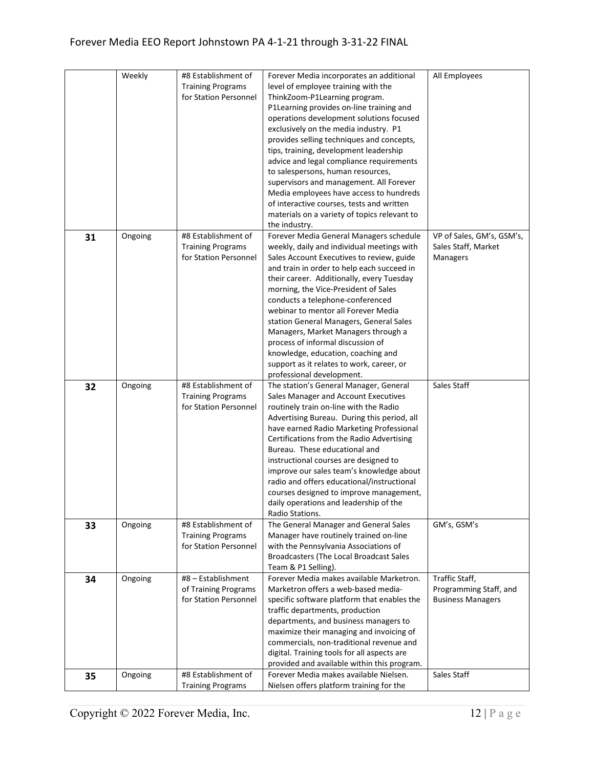|    | Weekly  | #8 Establishment of      | Forever Media incorporates an additional     | All Employees             |
|----|---------|--------------------------|----------------------------------------------|---------------------------|
|    |         | <b>Training Programs</b> | level of employee training with the          |                           |
|    |         | for Station Personnel    | ThinkZoom-P1Learning program.                |                           |
|    |         |                          |                                              |                           |
|    |         |                          | P1Learning provides on-line training and     |                           |
|    |         |                          | operations development solutions focused     |                           |
|    |         |                          | exclusively on the media industry. P1        |                           |
|    |         |                          | provides selling techniques and concepts,    |                           |
|    |         |                          | tips, training, development leadership       |                           |
|    |         |                          | advice and legal compliance requirements     |                           |
|    |         |                          | to salespersons, human resources,            |                           |
|    |         |                          | supervisors and management. All Forever      |                           |
|    |         |                          | Media employees have access to hundreds      |                           |
|    |         |                          | of interactive courses, tests and written    |                           |
|    |         |                          | materials on a variety of topics relevant to |                           |
|    |         |                          | the industry.                                |                           |
| 31 | Ongoing | #8 Establishment of      | Forever Media General Managers schedule      | VP of Sales, GM's, GSM's, |
|    |         | <b>Training Programs</b> | weekly, daily and individual meetings with   | Sales Staff, Market       |
|    |         | for Station Personnel    | Sales Account Executives to review, guide    | Managers                  |
|    |         |                          | and train in order to help each succeed in   |                           |
|    |         |                          |                                              |                           |
|    |         |                          | their career. Additionally, every Tuesday    |                           |
|    |         |                          | morning, the Vice-President of Sales         |                           |
|    |         |                          | conducts a telephone-conferenced             |                           |
|    |         |                          | webinar to mentor all Forever Media          |                           |
|    |         |                          | station General Managers, General Sales      |                           |
|    |         |                          | Managers, Market Managers through a          |                           |
|    |         |                          | process of informal discussion of            |                           |
|    |         |                          | knowledge, education, coaching and           |                           |
|    |         |                          | support as it relates to work, career, or    |                           |
|    |         |                          | professional development.                    |                           |
|    |         |                          |                                              |                           |
|    | Ongoing | #8 Establishment of      | The station's General Manager, General       | Sales Staff               |
| 32 |         | <b>Training Programs</b> | Sales Manager and Account Executives         |                           |
|    |         | for Station Personnel    |                                              |                           |
|    |         |                          | routinely train on-line with the Radio       |                           |
|    |         |                          | Advertising Bureau. During this period, all  |                           |
|    |         |                          | have earned Radio Marketing Professional     |                           |
|    |         |                          | Certifications from the Radio Advertising    |                           |
|    |         |                          | Bureau. These educational and                |                           |
|    |         |                          | instructional courses are designed to        |                           |
|    |         |                          | improve our sales team's knowledge about     |                           |
|    |         |                          | radio and offers educational/instructional   |                           |
|    |         |                          | courses designed to improve management,      |                           |
|    |         |                          | daily operations and leadership of the       |                           |
|    |         |                          | Radio Stations.                              |                           |
| 33 | Ongoing | #8 Establishment of      | The General Manager and General Sales        | GM's, GSM's               |
|    |         | <b>Training Programs</b> | Manager have routinely trained on-line       |                           |
|    |         | for Station Personnel    | with the Pennsylvania Associations of        |                           |
|    |         |                          | Broadcasters (The Local Broadcast Sales      |                           |
|    |         |                          | Team & P1 Selling).                          |                           |
| 34 | Ongoing | #8 - Establishment       | Forever Media makes available Marketron.     | Traffic Staff,            |
|    |         | of Training Programs     | Marketron offers a web-based media-          | Programming Staff, and    |
|    |         | for Station Personnel    | specific software platform that enables the  | <b>Business Managers</b>  |
|    |         |                          | traffic departments, production              |                           |
|    |         |                          | departments, and business managers to        |                           |
|    |         |                          | maximize their managing and invoicing of     |                           |
|    |         |                          | commercials, non-traditional revenue and     |                           |
|    |         |                          | digital. Training tools for all aspects are  |                           |
|    |         |                          | provided and available within this program.  |                           |
| 35 | Ongoing | #8 Establishment of      | Forever Media makes available Nielsen.       | Sales Staff               |